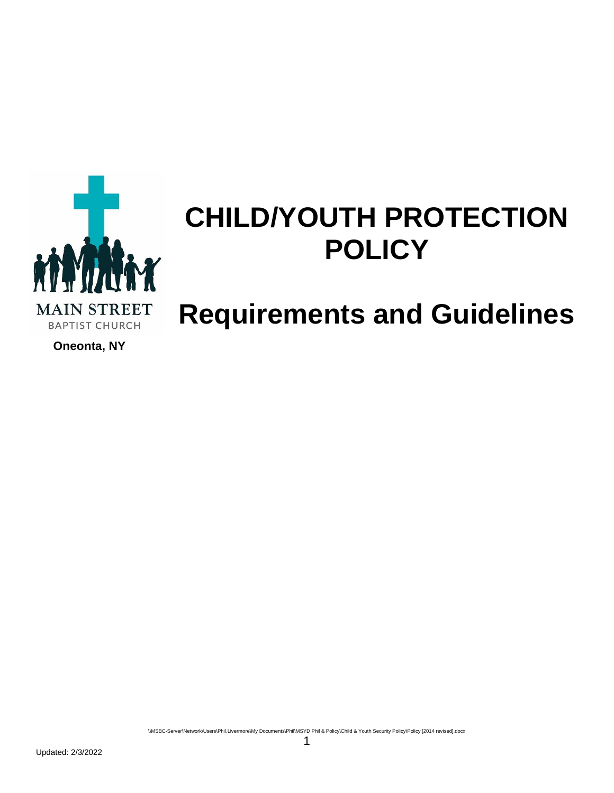

# **CHILD/YOUTH PROTECTION POLICY**

## **Requirements and Guidelines**

**Oneonta, NY**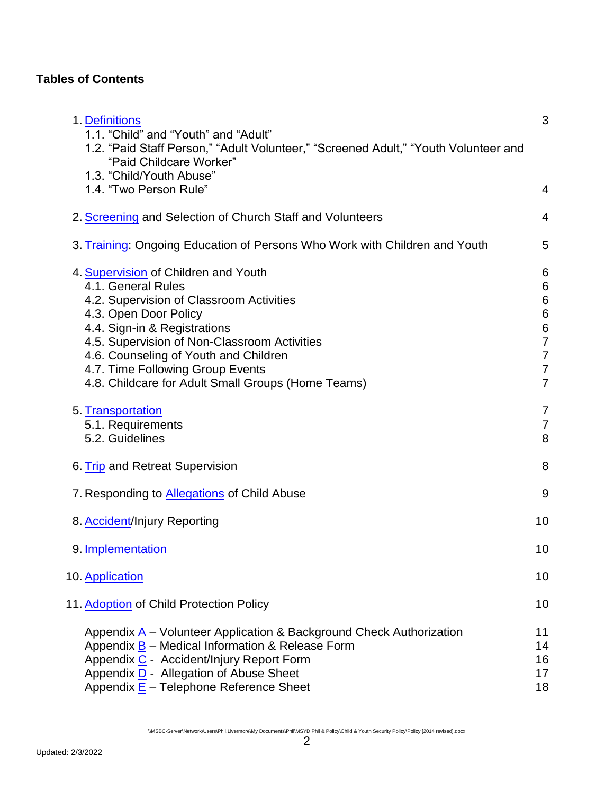## **Tables of Contents**

| 1. Definitions<br>1.1. "Child" and "Youth" and "Adult"<br>1.2. "Paid Staff Person," "Adult Volunteer," "Screened Adult," "Youth Volunteer and<br>"Paid Childcare Worker"<br>1.3. "Child/Youth Abuse"                                                                                                                                               | 3                                                                                                                                                   |
|----------------------------------------------------------------------------------------------------------------------------------------------------------------------------------------------------------------------------------------------------------------------------------------------------------------------------------------------------|-----------------------------------------------------------------------------------------------------------------------------------------------------|
| 1.4. "Two Person Rule"                                                                                                                                                                                                                                                                                                                             | 4                                                                                                                                                   |
| 2. Screening and Selection of Church Staff and Volunteers                                                                                                                                                                                                                                                                                          | 4                                                                                                                                                   |
| 3. Training: Ongoing Education of Persons Who Work with Children and Youth                                                                                                                                                                                                                                                                         | 5                                                                                                                                                   |
| 4. Supervision of Children and Youth<br>4.1. General Rules<br>4.2. Supervision of Classroom Activities<br>4.3. Open Door Policy<br>4.4. Sign-in & Registrations<br>4.5. Supervision of Non-Classroom Activities<br>4.6. Counseling of Youth and Children<br>4.7. Time Following Group Events<br>4.8. Childcare for Adult Small Groups (Home Teams) | 6<br>$6\phantom{1}6$<br>$6\phantom{1}6$<br>$\overline{6}$<br>$\overline{6}$<br>$\overline{7}$<br>$\overline{7}$<br>$\overline{7}$<br>$\overline{7}$ |
| 5. Transportation<br>5.1. Requirements<br>5.2. Guidelines                                                                                                                                                                                                                                                                                          | 7<br>$\overline{7}$<br>8                                                                                                                            |
| 6. Trip and Retreat Supervision                                                                                                                                                                                                                                                                                                                    | 8                                                                                                                                                   |
| 7. Responding to <b>Allegations</b> of Child Abuse                                                                                                                                                                                                                                                                                                 | 9                                                                                                                                                   |
| 8. Accident/Injury Reporting                                                                                                                                                                                                                                                                                                                       | 10                                                                                                                                                  |
| 9. Implementation                                                                                                                                                                                                                                                                                                                                  | 10                                                                                                                                                  |
| 10. Application                                                                                                                                                                                                                                                                                                                                    | 10                                                                                                                                                  |
| 11. Adoption of Child Protection Policy                                                                                                                                                                                                                                                                                                            | 10                                                                                                                                                  |
| Appendix A – Volunteer Application & Background Check Authorization<br>Appendix <b>B</b> - Medical Information & Release Form<br>Appendix C - Accident/Injury Report Form<br>Appendix D - Allegation of Abuse Sheet<br>Appendix $\underline{E}$ – Telephone Reference Sheet                                                                        | 11<br>14<br>16<br>17<br>18                                                                                                                          |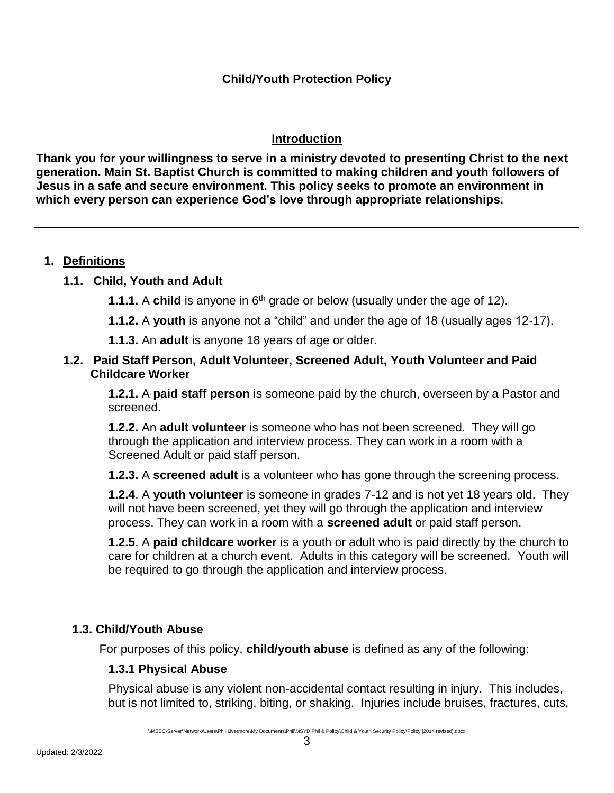## **Introduction**

**Thank you for your willingness to serve in a ministry devoted to presenting Christ to the next generation. Main St. Baptist Church is committed to making children and youth followers of Jesus in a safe and secure environment. This policy seeks to promote an environment in which every person can experience God's love through appropriate relationships.**

## <span id="page-2-0"></span>**1. Definitions**

## **1.1. Child, Youth and Adult**

- **1.1.1.** A **child** is anyone in 6<sup>th</sup> grade or below (usually under the age of 12).
- **1.1.2.** A **youth** is anyone not a "child" and under the age of 18 (usually ages 12-17).
- **1.1.3.** An **adult** is anyone 18 years of age or older.

#### **1.2. Paid Staff Person, Adult Volunteer, Screened Adult, Youth Volunteer and Paid Childcare Worker**

**1.2.1.** A **paid staff person** is someone paid by the church, overseen by a Pastor and screened.

**1.2.2.** An **adult volunteer** is someone who has not been screened. They will go through the application and interview process. They can work in a room with a Screened Adult or paid staff person.

**1.2.3.** A **screened adult** is a volunteer who has gone through the screening process.

**1.2.4**. A **youth volunteer** is someone in grades 7-12 and is not yet 18 years old. They will not have been screened, yet they will go through the application and interview process. They can work in a room with a **screened adult** or paid staff person.

**1.2.5**. A **paid childcare worker** is a youth or adult who is paid directly by the church to care for children at a church event. Adults in this category will be screened. Youth will be required to go through the application and interview process.

## **1.3. Child/Youth Abuse**

For purposes of this policy, **child/youth abuse** is defined as any of the following:

## **1.3.1 Physical Abuse**

Physical abuse is any violent non-accidental contact resulting in injury. This includes, but is not limited to, striking, biting, or shaking. Injuries include bruises, fractures, cuts,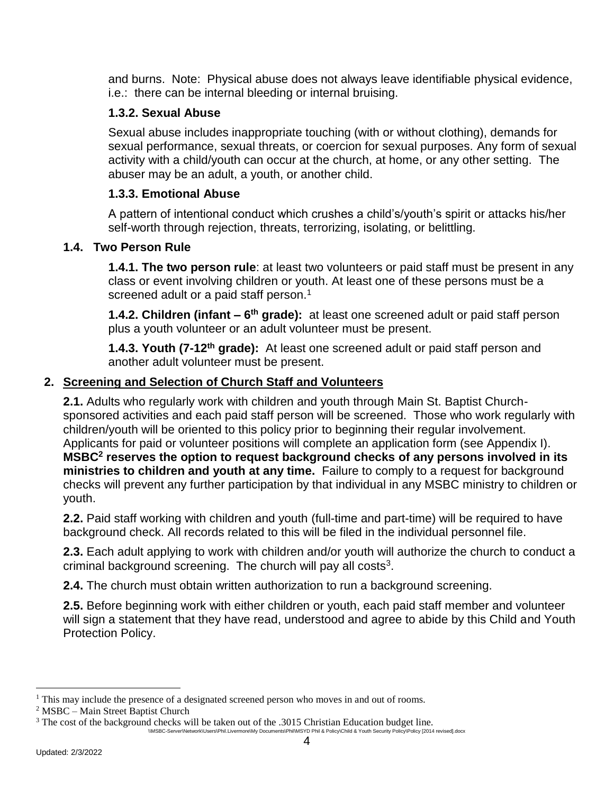and burns. Note: Physical abuse does not always leave identifiable physical evidence, i.e.: there can be internal bleeding or internal bruising.

## **1.3.2. Sexual Abuse**

Sexual abuse includes inappropriate touching (with or without clothing), demands for sexual performance, sexual threats, or coercion for sexual purposes. Any form of sexual activity with a child/youth can occur at the church, at home, or any other setting. The abuser may be an adult, a youth, or another child.

## **1.3.3. Emotional Abuse**

A pattern of intentional conduct which crushes a child's/youth's spirit or attacks his/her self-worth through rejection, threats, terrorizing, isolating, or belittling.

## **1.4. Two Person Rule**

**1.4.1. The two person rule**: at least two volunteers or paid staff must be present in any class or event involving children or youth. At least one of these persons must be a screened adult or a paid staff person.<sup>1</sup>

**1.4.2. Children (infant – 6<sup>th</sup> grade):** at least one screened adult or paid staff person plus a youth volunteer or an adult volunteer must be present.

**1.4.3. Youth (7-12th grade):** At least one screened adult or paid staff person and another adult volunteer must be present.

## <span id="page-3-0"></span>**2. Screening and Selection of Church Staff and Volunteers**

**2.1.** Adults who regularly work with children and youth through Main St. Baptist Churchsponsored activities and each paid staff person will be screened. Those who work regularly with children/youth will be oriented to this policy prior to beginning their regular involvement. Applicants for paid or volunteer positions will complete an application form (see Appendix I). **MSBC<sup>2</sup> reserves the option to request background checks of any persons involved in its ministries to children and youth at any time.** Failure to comply to a request for background checks will prevent any further participation by that individual in any MSBC ministry to children or youth.

**2.2.** Paid staff working with children and youth (full-time and part-time) will be required to have background check. All records related to this will be filed in the individual personnel file.

**2.3.** Each adult applying to work with children and/or youth will authorize the church to conduct a criminal background screening. The church will pay all costs $3$ .

**2.4.** The church must obtain written authorization to run a background screening.

**2.5.** Before beginning work with either children or youth, each paid staff member and volunteer will sign a statement that they have read, understood and agree to abide by this Child and Youth Protection Policy.

 $\overline{a}$ 

<sup>&</sup>lt;sup>1</sup> This may include the presence of a designated screened person who moves in and out of rooms.

<sup>2</sup> MSBC – Main Street Baptist Church

<sup>\\</sup>MSBC-Server\Network\Users\Phil.Livermore\My Documents\Phil\MSYD Phil & Policy\Child & Youth Security Policy\Policy [2014 revised].docx <sup>3</sup> The cost of the background checks will be taken out of the .3015 Christian Education budget line.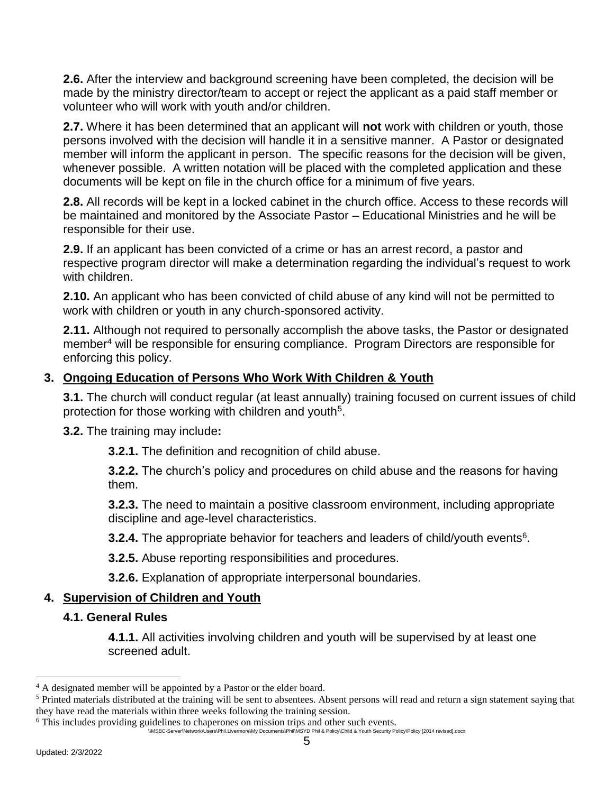**2.6.** After the interview and background screening have been completed, the decision will be made by the ministry director/team to accept or reject the applicant as a paid staff member or volunteer who will work with youth and/or children.

**2.7.** Where it has been determined that an applicant will **not** work with children or youth, those persons involved with the decision will handle it in a sensitive manner. A Pastor or designated member will inform the applicant in person. The specific reasons for the decision will be given, whenever possible. A written notation will be placed with the completed application and these documents will be kept on file in the church office for a minimum of five years.

**2.8.** All records will be kept in a locked cabinet in the church office. Access to these records will be maintained and monitored by the Associate Pastor – Educational Ministries and he will be responsible for their use.

**2.9.** If an applicant has been convicted of a crime or has an arrest record, a pastor and respective program director will make a determination regarding the individual's request to work with children.

**2.10.** An applicant who has been convicted of child abuse of any kind will not be permitted to work with children or youth in any church-sponsored activity.

**2.11.** Although not required to personally accomplish the above tasks, the Pastor or designated member<sup>4</sup> will be responsible for ensuring compliance. Program Directors are responsible for enforcing this policy.

## <span id="page-4-0"></span>**3. Ongoing Education of Persons Who Work With Children & Youth**

**3.1.** The church will conduct regular (at least annually) training focused on current issues of child protection for those working with children and youth<sup>5</sup>.

**3.2.** The training may include**:**

**3.2.1.** The definition and recognition of child abuse.

**3.2.2.** The church's policy and procedures on child abuse and the reasons for having them.

**3.2.3.** The need to maintain a positive classroom environment, including appropriate discipline and age-level characteristics.

**3.2.4.** The appropriate behavior for teachers and leaders of child/youth events<sup>6</sup>.

**3.2.5.** Abuse reporting responsibilities and procedures.

**3.2.6.** Explanation of appropriate interpersonal boundaries.

## <span id="page-4-1"></span>**4. Supervision of Children and Youth**

## **4.1. General Rules**

**4.1.1.** All activities involving children and youth will be supervised by at least one screened adult.

 $\overline{a}$ 

<sup>&</sup>lt;sup>4</sup> A designated member will be appointed by a Pastor or the elder board.

<sup>&</sup>lt;sup>5</sup> Printed materials distributed at the training will be sent to absentees. Absent persons will read and return a sign statement saying that they have read the materials within three weeks following the training session.

<sup>&</sup>lt;sup>6</sup> This includes providing guidelines to chaperones on mission trips and other such events.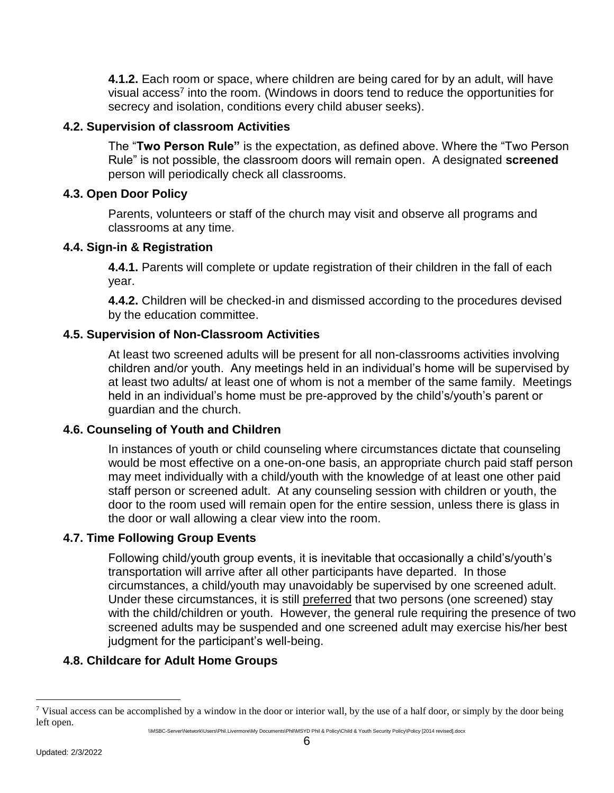**4.1.2.** Each room or space, where children are being cared for by an adult, will have visual access<sup>7</sup> into the room. (Windows in doors tend to reduce the opportunities for secrecy and isolation, conditions every child abuser seeks).

#### **4.2. Supervision of classroom Activities**

The "**Two Person Rule"** is the expectation, as defined above. Where the "Two Person Rule" is not possible, the classroom doors will remain open. A designated **screened** person will periodically check all classrooms.

#### **4.3. Open Door Policy**

Parents, volunteers or staff of the church may visit and observe all programs and classrooms at any time.

### **4.4. Sign-in & Registration**

**4.4.1.** Parents will complete or update registration of their children in the fall of each year.

**4.4.2.** Children will be checked-in and dismissed according to the procedures devised by the education committee.

## **4.5. Supervision of Non-Classroom Activities**

At least two screened adults will be present for all non-classrooms activities involving children and/or youth. Any meetings held in an individual's home will be supervised by at least two adults/ at least one of whom is not a member of the same family. Meetings held in an individual's home must be pre-approved by the child's/youth's parent or guardian and the church.

#### **4.6. Counseling of Youth and Children**

In instances of youth or child counseling where circumstances dictate that counseling would be most effective on a one-on-one basis, an appropriate church paid staff person may meet individually with a child/youth with the knowledge of at least one other paid staff person or screened adult. At any counseling session with children or youth, the door to the room used will remain open for the entire session, unless there is glass in the door or wall allowing a clear view into the room.

#### **4.7. Time Following Group Events**

Following child/youth group events, it is inevitable that occasionally a child's/youth's transportation will arrive after all other participants have departed. In those circumstances, a child/youth may unavoidably be supervised by one screened adult. Under these circumstances, it is still preferred that two persons (one screened) stay with the child/children or youth. However, the general rule requiring the presence of two screened adults may be suspended and one screened adult may exercise his/her best judgment for the participant's well-being.

## **4.8. Childcare for Adult Home Groups**

 $\overline{a}$ <sup>7</sup> Visual access can be accomplished by a window in the door or interior wall, by the use of a half door, or simply by the door being left open.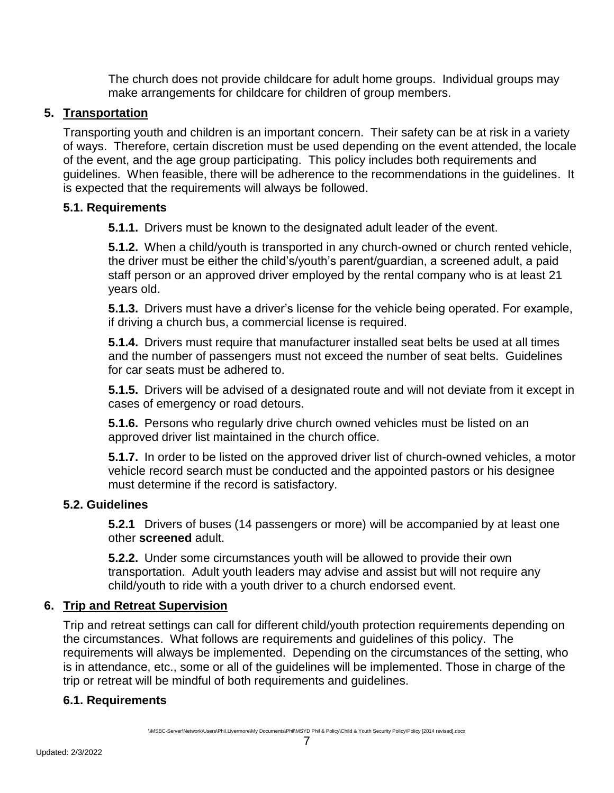The church does not provide childcare for adult home groups. Individual groups may make arrangements for childcare for children of group members.

## <span id="page-6-0"></span>**5. Transportation**

Transporting youth and children is an important concern. Their safety can be at risk in a variety of ways. Therefore, certain discretion must be used depending on the event attended, the locale of the event, and the age group participating. This policy includes both requirements and guidelines. When feasible, there will be adherence to the recommendations in the guidelines. It is expected that the requirements will always be followed.

### **5.1. Requirements**

**5.1.1.** Drivers must be known to the designated adult leader of the event.

**5.1.2.** When a child/youth is transported in any church-owned or church rented vehicle, the driver must be either the child's/youth's parent/guardian, a screened adult, a paid staff person or an approved driver employed by the rental company who is at least 21 years old.

**5.1.3.** Drivers must have a driver's license for the vehicle being operated. For example, if driving a church bus, a commercial license is required.

**5.1.4.** Drivers must require that manufacturer installed seat belts be used at all times and the number of passengers must not exceed the number of seat belts. Guidelines for car seats must be adhered to.

**5.1.5.** Drivers will be advised of a designated route and will not deviate from it except in cases of emergency or road detours.

**5.1.6.** Persons who regularly drive church owned vehicles must be listed on an approved driver list maintained in the church office.

**5.1.7.** In order to be listed on the approved driver list of church-owned vehicles, a motor vehicle record search must be conducted and the appointed pastors or his designee must determine if the record is satisfactory.

## **5.2. Guidelines**

**5.2.1** Drivers of buses (14 passengers or more) will be accompanied by at least one other **screened** adult.

**5.2.2.** Under some circumstances youth will be allowed to provide their own transportation. Adult youth leaders may advise and assist but will not require any child/youth to ride with a youth driver to a church endorsed event.

## <span id="page-6-1"></span>**6. Trip and Retreat Supervision**

Trip and retreat settings can call for different child/youth protection requirements depending on the circumstances. What follows are requirements and guidelines of this policy. The requirements will always be implemented. Depending on the circumstances of the setting, who is in attendance, etc., some or all of the guidelines will be implemented. Those in charge of the trip or retreat will be mindful of both requirements and guidelines.

## **6.1. Requirements**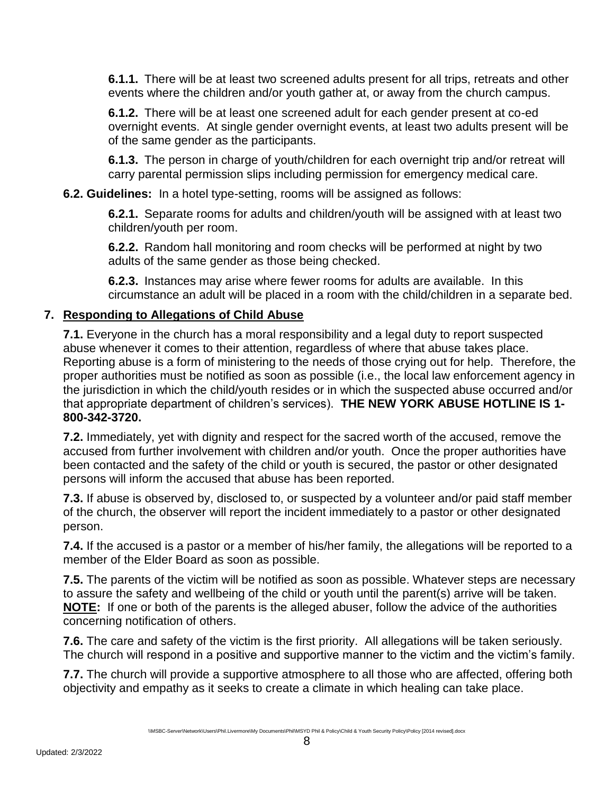**6.1.1.** There will be at least two screened adults present for all trips, retreats and other events where the children and/or youth gather at, or away from the church campus.

**6.1.2.** There will be at least one screened adult for each gender present at co-ed overnight events. At single gender overnight events, at least two adults present will be of the same gender as the participants.

**6.1.3.** The person in charge of youth/children for each overnight trip and/or retreat will carry parental permission slips including permission for emergency medical care.

### **6.2. Guidelines:** In a hotel type-setting, rooms will be assigned as follows:

**6.2.1.** Separate rooms for adults and children/youth will be assigned with at least two children/youth per room.

**6.2.2.** Random hall monitoring and room checks will be performed at night by two adults of the same gender as those being checked.

<span id="page-7-0"></span>**6.2.3.** Instances may arise where fewer rooms for adults are available. In this circumstance an adult will be placed in a room with the child/children in a separate bed.

### **7. Responding to Allegations of Child Abuse**

**7.1.** Everyone in the church has a moral responsibility and a legal duty to report suspected abuse whenever it comes to their attention, regardless of where that abuse takes place. Reporting abuse is a form of ministering to the needs of those crying out for help. Therefore, the proper authorities must be notified as soon as possible (i.e., the local law enforcement agency in the jurisdiction in which the child/youth resides or in which the suspected abuse occurred and/or that appropriate department of children's services). **THE NEW YORK ABUSE HOTLINE IS 1- 800-342-3720.**

**7.2.** Immediately, yet with dignity and respect for the sacred worth of the accused, remove the accused from further involvement with children and/or youth. Once the proper authorities have been contacted and the safety of the child or youth is secured, the pastor or other designated persons will inform the accused that abuse has been reported.

**7.3.** If abuse is observed by, disclosed to, or suspected by a volunteer and/or paid staff member of the church, the observer will report the incident immediately to a pastor or other designated person.

**7.4.** If the accused is a pastor or a member of his/her family, the allegations will be reported to a member of the Elder Board as soon as possible.

**7.5.** The parents of the victim will be notified as soon as possible. Whatever steps are necessary to assure the safety and wellbeing of the child or youth until the parent(s) arrive will be taken. **NOTE:** If one or both of the parents is the alleged abuser, follow the advice of the authorities concerning notification of others.

**7.6.** The care and safety of the victim is the first priority. All allegations will be taken seriously. The church will respond in a positive and supportive manner to the victim and the victim's family.

**7.7.** The church will provide a supportive atmosphere to all those who are affected, offering both objectivity and empathy as it seeks to create a climate in which healing can take place.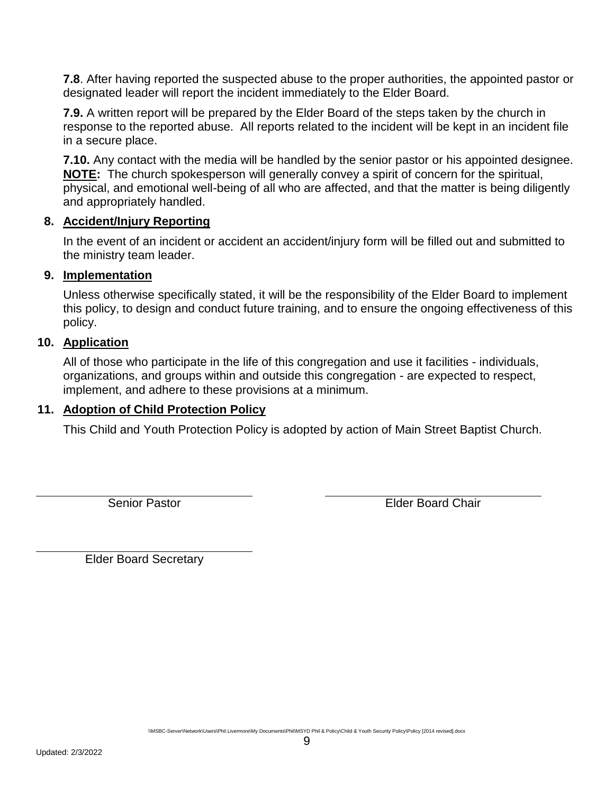**7.8**. After having reported the suspected abuse to the proper authorities, the appointed pastor or designated leader will report the incident immediately to the Elder Board.

**7.9.** A written report will be prepared by the Elder Board of the steps taken by the church in response to the reported abuse. All reports related to the incident will be kept in an incident file in a secure place.

**7.10.** Any contact with the media will be handled by the senior pastor or his appointed designee. **NOTE:** The church spokesperson will generally convey a spirit of concern for the spiritual, physical, and emotional well-being of all who are affected, and that the matter is being diligently and appropriately handled.

## <span id="page-8-0"></span>**8. Accident/Injury Reporting**

In the event of an incident or accident an accident/injury form will be filled out and submitted to the ministry team leader.

#### <span id="page-8-1"></span>**9. Implementation**

Unless otherwise specifically stated, it will be the responsibility of the Elder Board to implement this policy, to design and conduct future training, and to ensure the ongoing effectiveness of this policy.

#### **10. Application**

<span id="page-8-2"></span>All of those who participate in the life of this congregation and use it facilities - individuals, organizations, and groups within and outside this congregation - are expected to respect, implement, and adhere to these provisions at a minimum.

#### **11. Adoption of Child Protection Policy**

<span id="page-8-3"></span>This Child and Youth Protection Policy is adopted by action of Main Street Baptist Church.

Senior Pastor Elder Board Chair

Elder Board Secretary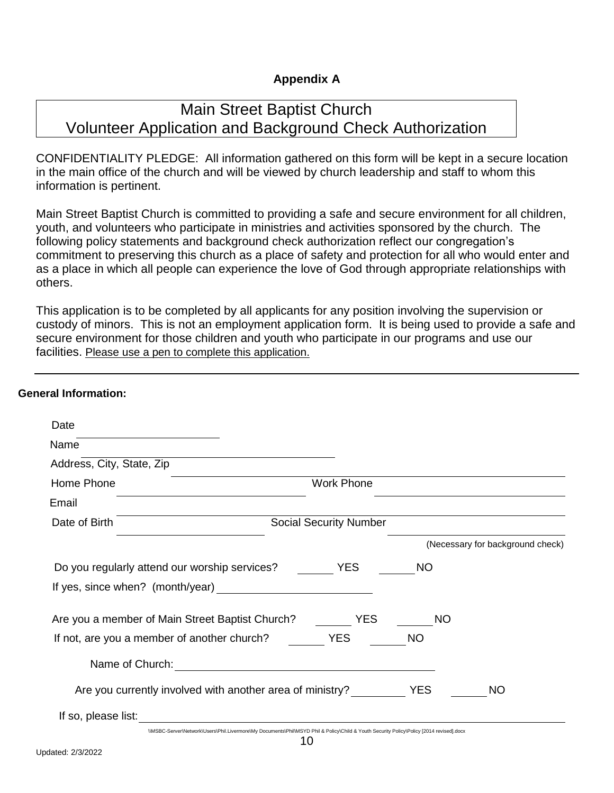## <span id="page-9-0"></span>**Appendix A**

## Main Street Baptist Church Volunteer Application and Background Check Authorization

CONFIDENTIALITY PLEDGE: All information gathered on this form will be kept in a secure location in the main office of the church and will be viewed by church leadership and staff to whom this information is pertinent.

Main Street Baptist Church is committed to providing a safe and secure environment for all children, youth, and volunteers who participate in ministries and activities sponsored by the church. The following policy statements and background check authorization reflect our congregation's commitment to preserving this church as a place of safety and protection for all who would enter and as a place in which all people can experience the love of God through appropriate relationships with others.

This application is to be completed by all applicants for any position involving the supervision or custody of minors. This is not an employment application form. It is being used to provide a safe and secure environment for those children and youth who participate in our programs and use our facilities. Please use a pen to complete this application.

#### **General Information:**

| Date                                                      |                                                                                                                                          |            |                                  |
|-----------------------------------------------------------|------------------------------------------------------------------------------------------------------------------------------------------|------------|----------------------------------|
| Name                                                      |                                                                                                                                          |            |                                  |
| Address, City, State, Zip                                 |                                                                                                                                          |            |                                  |
| Home Phone                                                | <b>Work Phone</b>                                                                                                                        |            |                                  |
| Email                                                     |                                                                                                                                          |            |                                  |
| Date of Birth                                             | <b>Social Security Number</b>                                                                                                            |            |                                  |
|                                                           |                                                                                                                                          |            | (Necessary for background check) |
| Do you regularly attend our worship services?             | <b>YES</b>                                                                                                                               | <b>NO</b>  |                                  |
| If yes, since when? (month/year)                          | <u> 1980 - John Stein, amerikansk politiker (</u>                                                                                        |            |                                  |
| Are you a member of Main Street Baptist Church?           | <b>YES</b>                                                                                                                               | NO.        |                                  |
| If not, are you a member of another church?               | <b>YES</b>                                                                                                                               | <b>NO</b>  |                                  |
| Name of Church:                                           |                                                                                                                                          |            |                                  |
| Are you currently involved with another area of ministry? |                                                                                                                                          | <b>YES</b> | <b>NO</b>                        |
| If so, please list:                                       |                                                                                                                                          |            |                                  |
|                                                           | \\MSBC-Server\Network\Users\Phil.Livermore\My Documents\Phil\MSYD Phil & Policy\Child & Youth Security Policy\Policy [2014 revised].docx |            |                                  |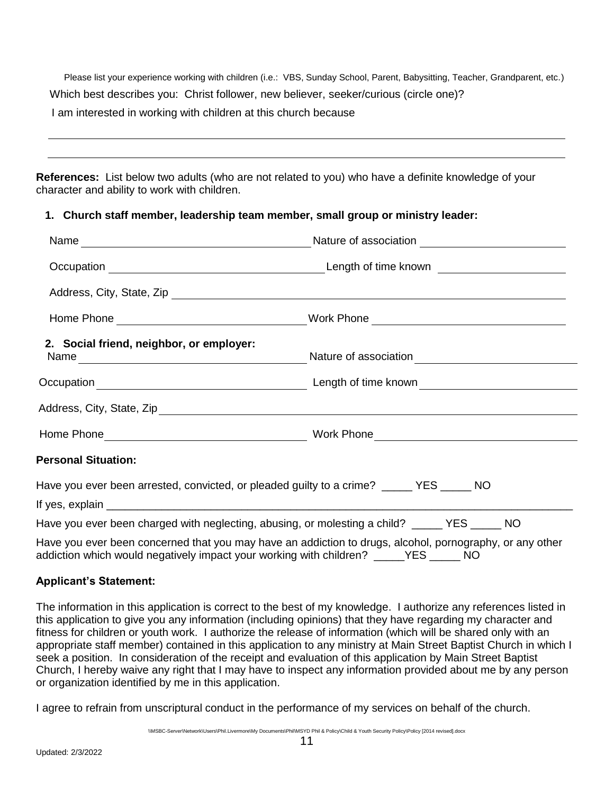Please list your experience working with children (i.e.: VBS, Sunday School, Parent, Babysitting, Teacher, Grandparent, etc.) Which best describes you: Christ follower, new believer, seeker/curious (circle one)? I am interested in working with children at this church because

**References:** List below two adults (who are not related to you) who have a definite knowledge of your character and ability to work with children.

#### **1. Church staff member, leadership team member, small group or ministry leader:**

| Address, City, State, Zip                                                                      |  |
|------------------------------------------------------------------------------------------------|--|
|                                                                                                |  |
| 2. Social friend, neighbor, or employer:                                                       |  |
|                                                                                                |  |
|                                                                                                |  |
|                                                                                                |  |
| <b>Personal Situation:</b>                                                                     |  |
| Have you ever been arrested, convicted, or pleaded guilty to a crime? _____ YES _____ NO       |  |
| Have you ever been charged with neglecting, abusing, or molesting a child? ______ YES _____ NO |  |

Have you ever been concerned that you may have an addiction to drugs, alcohol, pornography, or any other addiction which would negatively impact your working with children? \_\_\_\_\_YES \_\_\_\_\_ NO

#### **Applicant's Statement:**

The information in this application is correct to the best of my knowledge. I authorize any references listed in this application to give you any information (including opinions) that they have regarding my character and fitness for children or youth work. I authorize the release of information (which will be shared only with an appropriate staff member) contained in this application to any ministry at Main Street Baptist Church in which I seek a position. In consideration of the receipt and evaluation of this application by Main Street Baptist Church, I hereby waive any right that I may have to inspect any information provided about me by any person or organization identified by me in this application.

I agree to refrain from unscriptural conduct in the performance of my services on behalf of the church.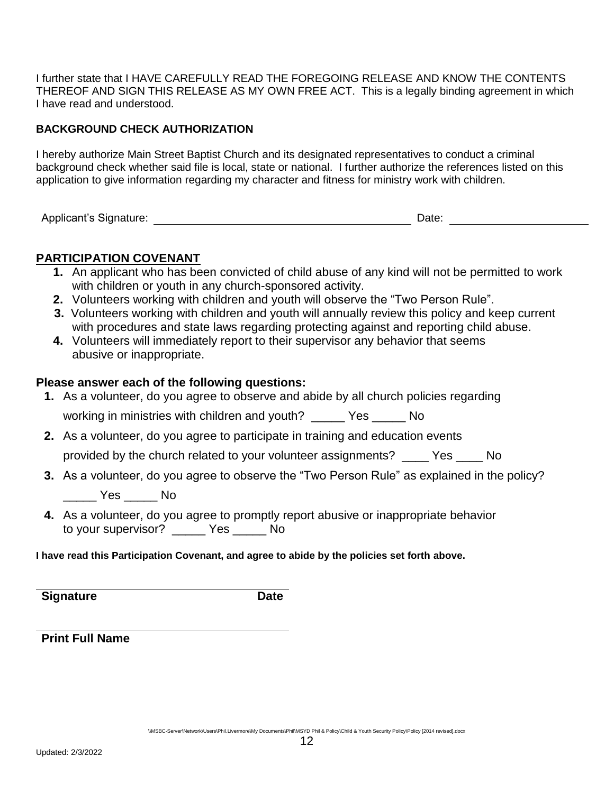I further state that I HAVE CAREFULLY READ THE FOREGOING RELEASE AND KNOW THE CONTENTS THEREOF AND SIGN THIS RELEASE AS MY OWN FREE ACT. This is a legally binding agreement in which I have read and understood.

#### **BACKGROUND CHECK AUTHORIZATION**

I hereby authorize Main Street Baptist Church and its designated representatives to conduct a criminal background check whether said file is local, state or national. I further authorize the references listed on this application to give information regarding my character and fitness for ministry work with children.

Applicant's Signature:  $\blacksquare$ 

### **PARTICIPATION COVENANT**

- **1.** An applicant who has been convicted of child abuse of any kind will not be permitted to work with children or youth in any church-sponsored activity.
- **2.** Volunteers working with children and youth will observe the "Two Person Rule".
- **3.** Volunteers working with children and youth will annually review this policy and keep current with procedures and state laws regarding protecting against and reporting child abuse.
- **4.** Volunteers will immediately report to their supervisor any behavior that seems abusive or inappropriate.

#### **Please answer each of the following questions:**

- **1.** As a volunteer, do you agree to observe and abide by all church policies regarding working in ministries with children and youth? \_\_\_\_\_ Yes \_\_\_\_\_ No
- **2.** As a volunteer, do you agree to participate in training and education events provided by the church related to your volunteer assignments? \_\_\_\_ Yes \_\_\_\_ No
- **3.** As a volunteer, do you agree to observe the "Two Person Rule" as explained in the policy?

\_\_\_\_\_ Yes \_\_\_\_\_ No

**4.** As a volunteer, do you agree to promptly report abusive or inappropriate behavior to your supervisor? \_\_\_\_\_ Yes \_\_\_\_\_ No

#### **I have read this Participation Covenant, and agree to abide by the policies set forth above.**

**Signature Date** 

**Print Full Name**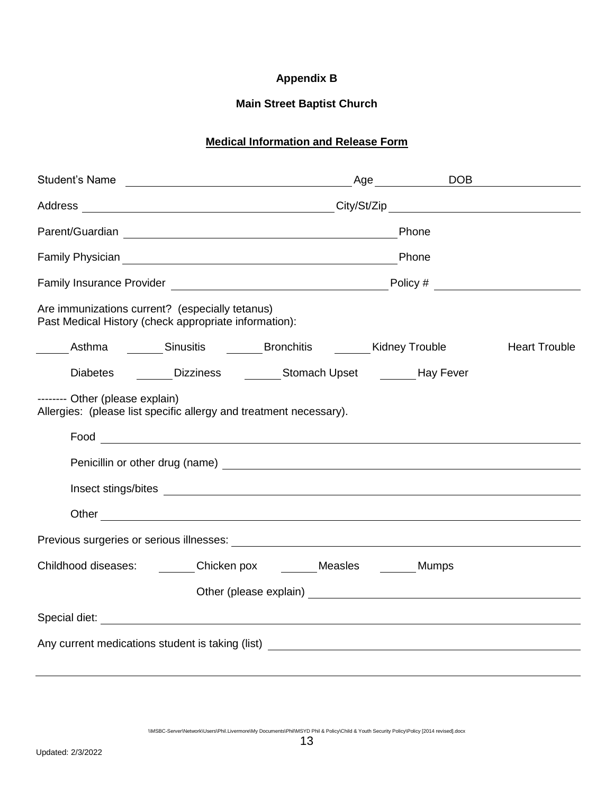### <span id="page-12-0"></span>**Appendix B**

### **Main Street Baptist Church**

## **Medical Information and Release Form**

|                                                                                                                                                                                                                                      | Age DOB              |
|--------------------------------------------------------------------------------------------------------------------------------------------------------------------------------------------------------------------------------------|----------------------|
|                                                                                                                                                                                                                                      |                      |
| Parent/Guardian Parent/Guardian Phone                                                                                                                                                                                                |                      |
| Family Physician example and the contract of the contract of the contract of the contract of the contract of the contract of the contract of the contract of the contract of the contract of the contract of the contract of t       |                      |
|                                                                                                                                                                                                                                      |                      |
| Are immunizations current? (especially tetanus)<br>Past Medical History (check appropriate information):                                                                                                                             |                      |
| ______Asthma _______Sinusitis _______Bronchitis _______Kidney Trouble                                                                                                                                                                | <b>Heart Trouble</b> |
| Diabetes ________Dizziness ____________Stomach Upset __________Hay Fever                                                                                                                                                             |                      |
| -------- Other (please explain)<br>Allergies: (please list specific allergy and treatment necessary).                                                                                                                                |                      |
|                                                                                                                                                                                                                                      |                      |
|                                                                                                                                                                                                                                      |                      |
| Insect stings/bites <b>contract to the contract of the contract of the contract of the contract of the contract of the contract of the contract of the contract of the contract of the contract of the contract of the contract </b> |                      |
|                                                                                                                                                                                                                                      |                      |
|                                                                                                                                                                                                                                      |                      |
| Childhood diseases: ________Chicken pox ________ Measles _______ Mumps                                                                                                                                                               |                      |
|                                                                                                                                                                                                                                      |                      |
|                                                                                                                                                                                                                                      |                      |
|                                                                                                                                                                                                                                      |                      |
|                                                                                                                                                                                                                                      |                      |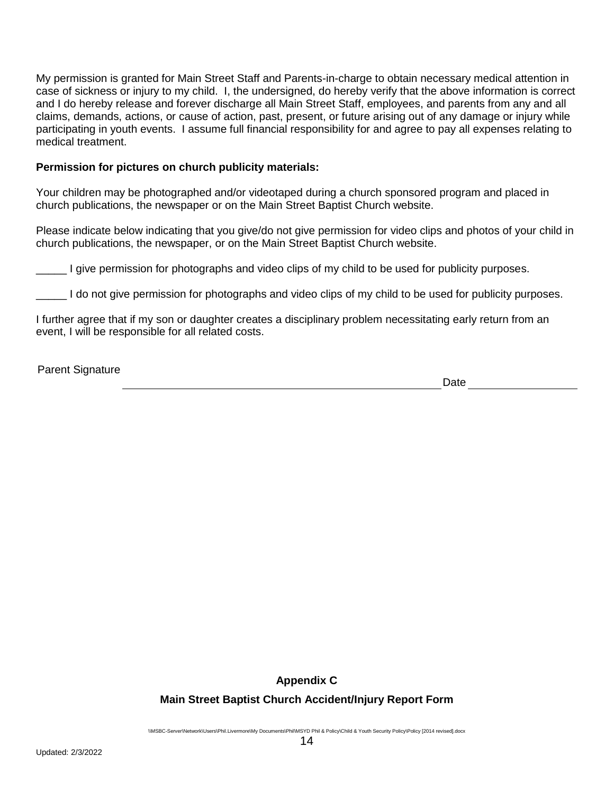My permission is granted for Main Street Staff and Parents-in-charge to obtain necessary medical attention in case of sickness or injury to my child. I, the undersigned, do hereby verify that the above information is correct and I do hereby release and forever discharge all Main Street Staff, employees, and parents from any and all claims, demands, actions, or cause of action, past, present, or future arising out of any damage or injury while participating in youth events. I assume full financial responsibility for and agree to pay all expenses relating to medical treatment.

#### **Permission for pictures on church publicity materials:**

Your children may be photographed and/or videotaped during a church sponsored program and placed in church publications, the newspaper or on the Main Street Baptist Church website.

Please indicate below indicating that you give/do not give permission for video clips and photos of your child in church publications, the newspaper, or on the Main Street Baptist Church website.

I give permission for photographs and video clips of my child to be used for publicity purposes.

I do not give permission for photographs and video clips of my child to be used for publicity purposes.

I further agree that if my son or daughter creates a disciplinary problem necessitating early return from an event, I will be responsible for all related costs.

Parent Signature

Date and the state of the state of the state of the state of the state of the state of the state of the state of the state of the state of the state of the state of the state of the state of the state of the state of the s

<span id="page-13-0"></span>**Appendix C**

#### **Main Street Baptist Church Accident/Injury Report Form**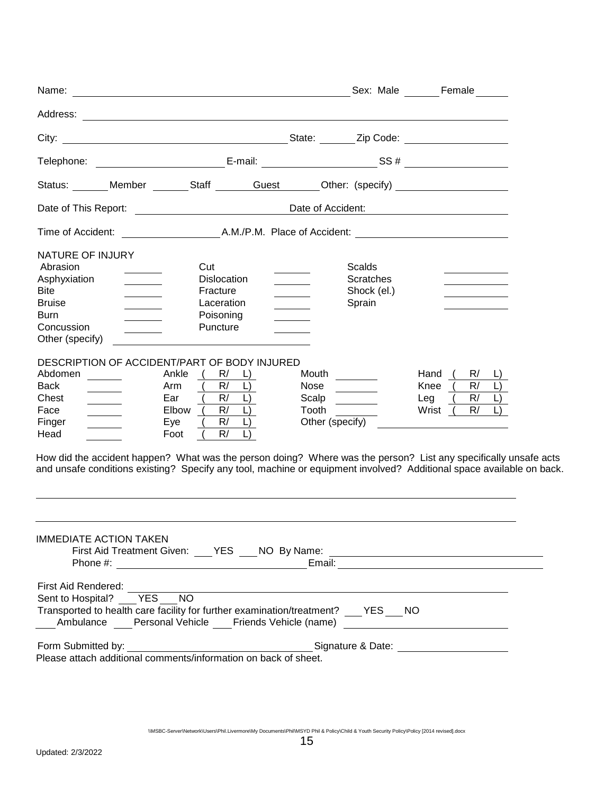|                                                                                                                              |                                                                                                                                                                   |                                                    |                                                            | Sex: Male Female                                                                                                                                                          |
|------------------------------------------------------------------------------------------------------------------------------|-------------------------------------------------------------------------------------------------------------------------------------------------------------------|----------------------------------------------------|------------------------------------------------------------|---------------------------------------------------------------------------------------------------------------------------------------------------------------------------|
| Address:                                                                                                                     | <u> 1980 - Jan Samuel Barbara, martin da shekara tsara 1980 - An tsara 1980 - An tsara 1980 - An tsara 1980 - An</u>                                              |                                                    |                                                            |                                                                                                                                                                           |
| City:                                                                                                                        |                                                                                                                                                                   |                                                    |                                                            |                                                                                                                                                                           |
|                                                                                                                              |                                                                                                                                                                   |                                                    |                                                            |                                                                                                                                                                           |
|                                                                                                                              | Status: Member Staff Guest Other: (specify)                                                                                                                       |                                                    |                                                            |                                                                                                                                                                           |
|                                                                                                                              |                                                                                                                                                                   | Date of Accident:                                  |                                                            |                                                                                                                                                                           |
|                                                                                                                              |                                                                                                                                                                   |                                                    |                                                            |                                                                                                                                                                           |
| NATURE OF INJURY<br>Abrasion<br>Asphyxiation<br><b>Bite</b><br><b>Bruise</b><br><b>Burn</b><br>Concussion<br>Other (specify) | Cut<br><b>Dislocation</b><br>Fracture<br>Laceration<br>Poisoning<br>Puncture                                                                                      |                                                    | <b>Scalds</b><br><b>Scratches</b><br>Shock (el.)<br>Sprain |                                                                                                                                                                           |
| Abdomen<br><b>Back</b><br>Chest<br>Face<br>Finger<br>Head                                                                    | DESCRIPTION OF ACCIDENT/PART OF BODY INJURED<br>Ankle<br>R/<br>R/<br>Arm<br>R/<br>Ear<br>L)<br>Elbow (<br>R/<br>$\Box$<br>R/<br>$\Box$<br>Eye<br>R/<br>Foot       | Mouth<br>Nose<br>Scalp<br>Tooth<br>Other (specify) |                                                            | Hand<br>R/<br>R/<br>Knee<br>R/<br>Leg<br>R/<br>Wrist (<br>How did the accident happen? What was the person doing? Where was the person? List any specifically unsafe acts |
|                                                                                                                              |                                                                                                                                                                   |                                                    |                                                            | and unsafe conditions existing? Specify any tool, machine or equipment involved? Additional space available on back.                                                      |
| <b>IMMEDIATE ACTION TAKEN</b>                                                                                                | First Aid Treatment Given: ___ YES ___ NO By Name:                                                                                                                |                                                    |                                                            |                                                                                                                                                                           |
| First Aid Rendered:<br>Sent to Hospital?  YES  NO                                                                            | Transported to health care facility for further examination/treatment? YES NO<br>Ambulance Personal Vehicle ___ Friends Vehicle (name) __________________________ |                                                    |                                                            |                                                                                                                                                                           |
| Form Submitted by:                                                                                                           | Please attach additional comments/information on back of sheet.                                                                                                   |                                                    |                                                            | Signature & Date: ________________________                                                                                                                                |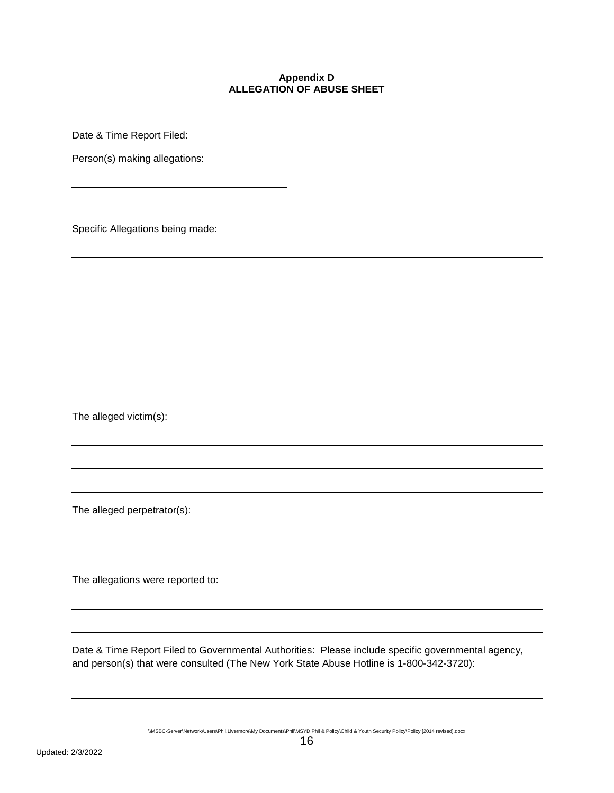#### **Appendix D ALLEGATION OF ABUSE SHEET**

<span id="page-15-0"></span>Date & Time Report Filed:

Person(s) making allegations:

Specific Allegations being made:

The alleged victim(s):

The alleged perpetrator(s):

The allegations were reported to:

Date & Time Report Filed to Governmental Authorities: Please include specific governmental agency, and person(s) that were consulted (The New York State Abuse Hotline is 1-800-342-3720):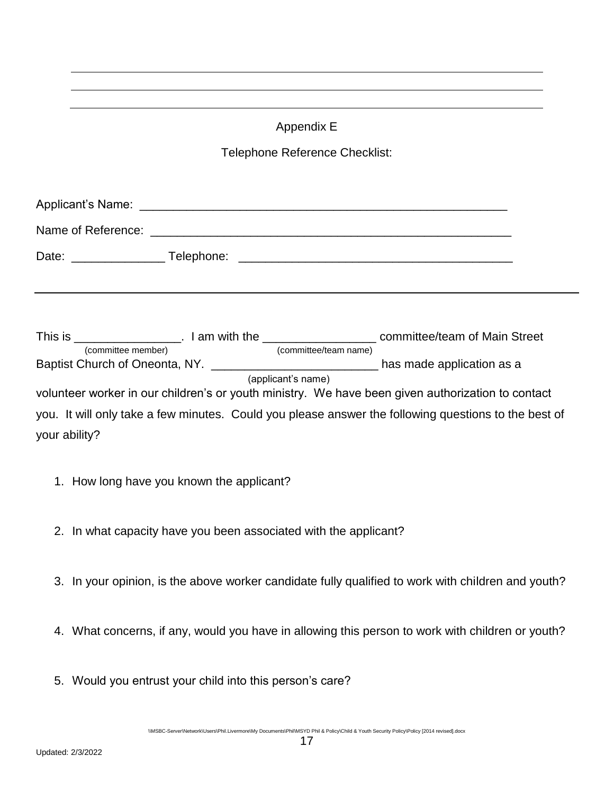## <span id="page-16-0"></span>Appendix E Telephone Reference Checklist: Applicant's Name: \_\_\_\_\_\_\_\_\_\_\_\_\_\_\_\_\_\_\_\_\_\_\_\_\_\_\_\_\_\_\_\_\_\_\_\_\_\_\_\_\_\_\_\_\_\_\_\_\_\_\_\_\_\_\_ Name of Reference:  $\blacksquare$ Date: \_\_\_\_\_\_\_\_\_\_\_\_\_\_ Telephone: \_\_\_\_\_\_\_\_\_\_\_\_\_\_\_\_\_\_\_\_\_\_\_\_\_\_\_\_\_\_\_\_\_\_\_\_\_\_\_\_\_ This is \_\_\_\_\_\_\_\_\_\_\_\_\_\_\_\_\_\_. I am with the \_\_\_\_\_\_\_\_\_\_\_\_\_\_\_\_\_\_\_\_\_\_\_\_ committee/team of Main Street (committee member) (committee/team name) Baptist Church of Oneonta, NY. \_\_\_\_\_\_\_\_\_\_\_\_\_\_\_\_\_\_\_\_\_\_\_\_\_\_\_\_\_\_\_\_ has made application as a (applicant's name) volunteer worker in our children's or youth ministry. We have been given authorization to contact you. It will only take a few minutes. Could you please answer the following questions to the best of your ability?

- 1. How long have you known the applicant?
- 2. In what capacity have you been associated with the applicant?
- 3. In your opinion, is the above worker candidate fully qualified to work with children and youth?
- 4. What concerns, if any, would you have in allowing this person to work with children or youth?
- 5. Would you entrust your child into this person's care?